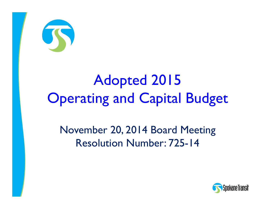

# Adopted 2015 **Operating and Capital Budget**

November 20, 2014 Board Meeting Resolution Number: 725-14

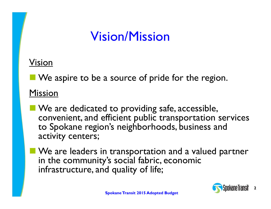### Vision/Mission

#### Vision

**No** We aspire to be a source of pride for the region.

#### Mission

- **No. 2 Alle 20 Yeal is also under** Safe, accessible, convenient, and efficient public transportation services to Spokane region's neighborhoods, business and activity centers;
- **Notable 20 India** We are leaders in transportation and a valued partner in the community's social fabric, economic infrastructure, and quality of life;

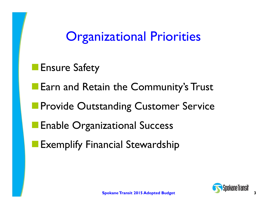### **Organizational Priorities**

- **Ensure Safety**
- **Earn and Retain the Community's Trust**
- **Provide Outstanding Customer Service**
- Enable Organizational Success
- Exemplify Financial Stewardship

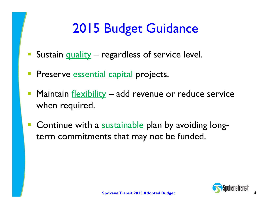# 2015 Budget Guidance

- Sustain quality regardless of service level.
- **Preserve <u>essential capital</u> projects.**
- Maintain flexibility add revenue or reduce service when required.
- $\mathbb{R}^n$ **Continue with a sustainable plan by avoiding long**term commitments that may not be funded.

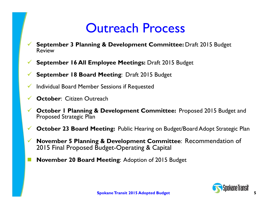### Outreach Process

- $\checkmark$  **September 3 Planning & Development Committee:** Draft 2015 Budget Review
- $\checkmark$ **September 16 All Employee Meetings:** Draft 2015 Budget

 $\checkmark$ **September 18 Board Meeting**: Draft 2015 Budget

- $\checkmark$ Individual Board Member Sessions if Requested
- $\checkmark$ **October: Citizen Outreach**
- $\checkmark$  **October 1 Planning & Development Committee:** Proposed 2015 Budget and Proposed Strategic Plan
- $\checkmark$ **October 23 Board Meeting:** Public Hearing on Budget/Board Adopt Strategic Plan
- $\checkmark$  **November 5 Planning & Development Committee**: Recommendation of 2015 Final Proposed Budget-Operating & Capital
- **November 20 Board Meeting**: Adoption of 2015 Budget

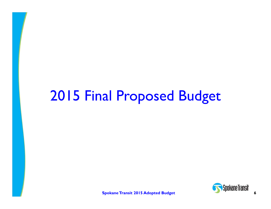# 2015 Final Proposed Budget

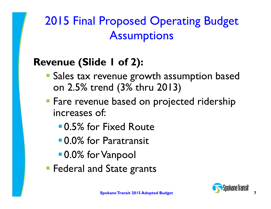2015 Final Proposed Operating Budget **Assumptions** 

### **Revenue (Slide 1 of 2):**

- **Sales tax revenue growth assumption based** on 2.5% trend (3% thru 2013)
- **Fare revenue based on projected ridership** increases of:
	- 0.5% for Fixed Route
	- 0.0% for Paratransit
	- **0.0% for Vanpool**
- **Federal and State grants**

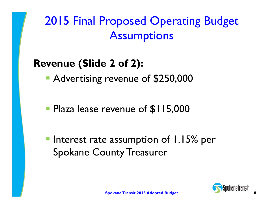2015 Final Proposed Operating Budget **Assumptions** 

### **Revenue (Slide 2 of 2):**

Advertising revenue of \$250,000

**Plaza lease revenue of \$115,000** 

**Interest rate assumption of 1.15% per** Spokane County Treasurer

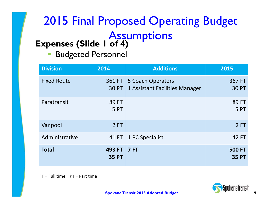### **Expenses (Slide 1 of 4)** 2015 Final Proposed Operating Budget **Assumptions**

 $\mathbb{R}^2$ Budgeted Personnel

| <b>Division</b>    | 2014                        | <b>Additions</b>                                    | 2015                          |
|--------------------|-----------------------------|-----------------------------------------------------|-------------------------------|
| <b>Fixed Route</b> | 361 FT<br>30 PT             | 5 Coach Operators<br>1 Assistant Facilities Manager | 367 FT<br><b>30 PT</b>        |
| Paratransit        | 89 FT<br>5 PT               |                                                     | 89 FT<br>5PT                  |
| Vanpool            | 2FT                         |                                                     | 2FT                           |
| Administrative     | 41 FT                       | 1 PC Specialist                                     | 42 FT                         |
| <b>Total</b>       | 493 FT 7 FT<br><b>35 PT</b> |                                                     | <b>500 FT</b><br><b>35 PT</b> |

FT <sup>=</sup> Full time PT <sup>=</sup> Part time

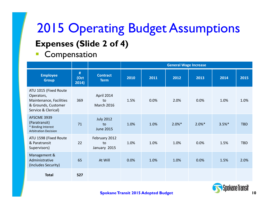# **Expenses (Slide 2 of 4)** 2015 Operating Budget Assumptions

Compensation

|                                                                                                              |                    |                                            | <b>General Wage Increase</b> |      |           |           |          |            |
|--------------------------------------------------------------------------------------------------------------|--------------------|--------------------------------------------|------------------------------|------|-----------|-----------|----------|------------|
| <b>Employee</b><br><b>Group</b>                                                                              | #<br>(Oct<br>2014) | <b>Contract</b><br><b>Term</b>             | 2010                         | 2011 | 2012      | 2013      | 2014     | 2015       |
| ATU 1015 (Fixed Route<br>Operators,<br>Maintenance, Facilities<br>& Grounds, Customer<br>Service & Clerical) | 369                | April 2014<br>to<br>March 2016             | 1.5%                         | 0.0% | 2.0%      | 0.0%      | 1.0%     | 1.0%       |
| AFSCME 3939<br>(Paratransit)<br>* Binding Interest<br><b>Arbitration Decision</b>                            | 71                 | <b>July 2012</b><br>to<br><b>June 2015</b> | 1.0%                         | 1.0% | $2.0\%$ * | $2.0\%$ * | $3.5%$ * | <b>TBD</b> |
| ATU 1598 (Fixed Route<br>& Paratransit<br>Supervisors)                                                       | 22                 | February 2012<br>to<br>January 2015        | 1.0%                         | 1.0% | 1.0%      | 0.0%      | 1.5%     | <b>TBD</b> |
| Management &<br>Administrative<br>(Includes Security)                                                        | 65                 | At Will                                    | 0.0%                         | 1.0% | 1.0%      | 0.0%      | 1.5%     | 2.0%       |
| <b>Total</b>                                                                                                 | 527                |                                            |                              |      |           |           |          |            |

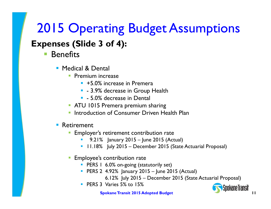# 2015 Operating Budget Assumptions

#### **Expenses (Slide 3 of 4):**

#### $\Box$ **Benefits**

- Medical & Dental
	- **Premium increase** 
		- +5.0% increase in Premera
		- 3.9% decrease in Group Health
		- **5.0% decrease in Dental**
	- **ATU 1015 Premera premium sharing**
	- **Introduction of Consumer Driven Health Plan**

#### $\Box$ Retirement

- **Employer's retirement contribution rate** 
	- П 9.21% January 2015 – June 2015 (Actual)
	- 11.18% July 2015 December 2015 (State Actuarial Proposal)
- **Employee's contribution rate** 
	- **PERS 1 6.0% on-going (statutorily set)**
	- PERS 2 4.92% January 2015 June 2015 (Actual)
		- 6.12% July 2015 December 2015 (State Actuarial Proposal)
	- **PERS 3 Varies 5% to 15%**

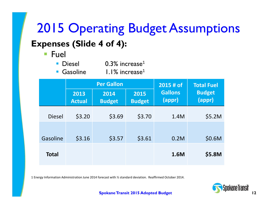### **Expenses (Slide 4 of 4):** 2015 Operating Budget Assumptions

 $\overline{\mathbb{R}}$ Fuel

| <b>Diesel</b>   | $0.3\%$ increase <sup>1</sup> |
|-----------------|-------------------------------|
| <b>Gasoline</b> | $1.1\%$ increase <sup>1</sup> |

|               |                       | <b>Per Gallon</b>     | 2015 # of             | <b>Total Fuel</b>        |                         |
|---------------|-----------------------|-----------------------|-----------------------|--------------------------|-------------------------|
|               | 2013<br><b>Actual</b> | 2014<br><b>Budget</b> | 2015<br><b>Budget</b> | <b>Gallons</b><br>(appr) | <b>Budget</b><br>(appr) |
| <b>Diesel</b> | \$3.20                | \$3.69                | \$3.70                | 1.4M                     | \$5.2M                  |
| Gasoline      | \$3.16                | \$3.57                | \$3.61                | 0.2M                     | \$0.6M                  |
|               |                       |                       |                       |                          |                         |
| <b>Total</b>  |                       |                       |                       | 1.6M                     | \$5.8M                  |

1 Energy Information Administration June 2014 forecast with ½ standard deviation. Reaffirmed October 2014.

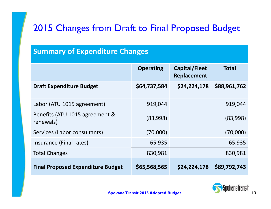#### 2015 Changes from Draft to Final Proposed Budget

#### **Summary of Expenditure Changes**

|                                             | <b>Operating</b> | Capital/Fleet<br>Replacement | <b>Total</b> |
|---------------------------------------------|------------------|------------------------------|--------------|
| <b>Draft Expenditure Budget</b>             | \$64,737,584     | \$24,224,178                 | \$88,961,762 |
| Labor (ATU 1015 agreement)                  | 919,044          |                              | 919,044      |
| Benefits (ATU 1015 agreement &<br>renewals) | (83,998)         |                              | (83,998)     |
| Services (Labor consultants)                | (70,000)         |                              | (70,000)     |
| Insurance (Final rates)                     | 65,935           |                              | 65,935       |
| <b>Total Changes</b>                        | 830,981          |                              | 830,981      |
| <b>Final Proposed Expenditure Budget</b>    | \$65,568,565     | \$24,224,178                 | \$89,792,743 |

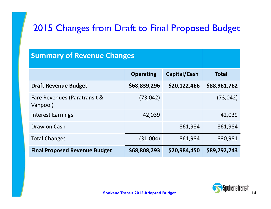### 2015 Changes from Draft to Final Proposed Budget

| <b>Summary of Revenue Changes</b>        |                  |              |              |
|------------------------------------------|------------------|--------------|--------------|
|                                          | <b>Operating</b> | Capital/Cash | <b>Total</b> |
| <b>Draft Revenue Budget</b>              | \$68,839,296     | \$20,122,466 | \$88,961,762 |
| Fare Revenues (Paratransit &<br>Vanpool) | (73, 042)        |              | (73, 042)    |
| <b>Interest Earnings</b>                 | 42,039           |              | 42,039       |
| Draw on Cash                             |                  | 861,984      | 861,984      |
| <b>Total Changes</b>                     | (31,004)         | 861,984      | 830,981      |
| <b>Final Proposed Revenue Budget</b>     | \$68,808,293     | \$20,984,450 | \$89,792,743 |

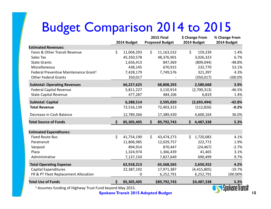# Budget Comparison 2014 to 2015

|                                                                     |                  |         | <b>2015 Final</b>      |    | \$ Change From | % Change From |
|---------------------------------------------------------------------|------------------|---------|------------------------|----|----------------|---------------|
|                                                                     | 2014 Budget      |         | <b>Proposed Budget</b> |    | 2014 Budget    | 2014 Budget   |
| <b>Estimated Revenues:</b>                                          |                  |         |                        |    |                |               |
| Fares & Other Transit Revenue                                       | \$<br>11,004,293 | $\zeta$ | 11,163,532             | \$ | 159,239        | 1.4%          |
| Sales Tax                                                           | 45,350,578       |         | 48,376,901             |    | 3,026,323      | 6.7%          |
| <b>State Grants</b>                                                 | 1,656,413        |         | 847,369                |    | (809, 044)     | $-48.8%$      |
| Miscellaneous                                                       | 438,145          |         | 670,915                |    | 232,770        | 53.1%         |
| Federal Preventive Maintenance Grant <sup>1</sup>                   | 7,428,179        |         | 7,749,576              |    | 321,397        | 4.3%          |
| <b>Other Federal Grants</b>                                         | 350,017          |         |                        |    | (350, 017)     | $-100.0%$     |
| <b>Subtotal: Operating Revenues</b>                                 | 66,227,625       |         | 68,808,293             |    | 2,580,668      | 3.9%          |
| <b>Federal Capital Revenue</b>                                      | 5,811,227        |         | 3,110,914              |    | (2,700,313)    | $-46.5%$      |
| <b>State Capital Revenue</b>                                        | 477,287          |         | 484,106                |    | 6,819          | 1.4%          |
| <b>Subtotal: Capital</b>                                            | 6,288,514        |         | 3,595,020              |    | (2,693,494)    | $-42.8%$      |
| <b>Total Revenue</b>                                                | 72,516,139       |         | 72,403,313             |    | (112, 826)     | $-0.2%$       |
| Decrease in Cash Balance                                            | 12,789,266       |         | 17,389,430             |    | 4,600,164      | 36.0%         |
| <b>Total Source of Funds</b>                                        | \$<br>85,305,405 | \$      | 89,792,743             |    | \$4,487,338    | 5.3%          |
| <b>Estimated Expenditures:</b>                                      |                  |         |                        |    |                |               |
| <b>Fixed Route Bus</b>                                              | \$<br>41,754,190 | \$      | 43,474,273             | Ś. | 1,720,083      | 4.1%          |
| Paratransit                                                         | 11,806,985       |         | 12,029,757             |    | 222,772        | 1.9%          |
| Vanpool                                                             | 894,914          |         | 870,447                |    | (24, 467)      | $-2.7%$       |
| Plaza                                                               | 1,324,974        |         | 1,366,439              |    | 41,465         | 3.1%          |
| Administrative                                                      | 7,137,150        |         | 7,827,649              |    | 690,499        | 9.7%          |
| <b>Total Operating Expense</b>                                      | 62,918,213       |         | 65,568,565             |    | 2,650,352      | 4.2%          |
| <b>Capital Expenditures</b>                                         | 22,387,192       |         | 17,971,387             |    | (4,415,805)    | $-19.7%$      |
| FR & PT Fleet Replacement Allocation                                | 0                |         | 6,252,791              |    | 6,252,791      | 100.00%       |
| <b>Total Use of Funds</b>                                           | \$<br>85,305,405 |         | \$89,792,743           |    | \$4,487,338    | 5.3%          |
| <sup>1</sup> Assumes funding of Highway Trust Fund beyond May 2015. |                  |         |                        |    |                |               |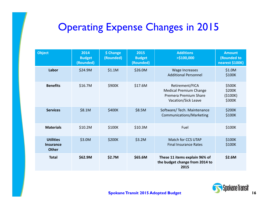### Operating Expense Changes in 2015

| <b>Object</b>                                        | 2014<br><b>Budget</b><br>(Rounded) | \$ Change<br>(Rounded) | 2015<br><b>Budget</b><br>(Rounded) | <b>Additions</b><br>>\$100,000                                                                   | <b>Amount</b><br>(Rounded to<br>nearest \$100K) |
|------------------------------------------------------|------------------------------------|------------------------|------------------------------------|--------------------------------------------------------------------------------------------------|-------------------------------------------------|
| Labor                                                | \$24.9M                            | \$1.1M                 | \$26.0M                            | <b>Wage Increases</b><br><b>Additional Personnel</b>                                             | \$1.0M<br>\$100K                                |
| <b>Benefits</b>                                      | \$16.7M                            | \$900K                 | \$17.6M                            | Retirement/FICA<br><b>Medical Premium Change</b><br>Premera Premium Share<br>Vacation/Sick Leave | \$500K<br>\$200K<br>(5100K)<br>\$300K           |
| <b>Services</b>                                      | \$8.1M                             | \$400K                 | \$8.5M                             | Software/Tech. Maintenance<br>Communications/Marketing                                           | \$200K<br>\$100K                                |
| <b>Materials</b>                                     | \$10.2M                            | \$100K                 | \$10.3M                            | Fuel                                                                                             | \$100K                                          |
| <b>Utilities</b><br><b>Insurance</b><br><b>Other</b> | \$3.0M                             | \$200K                 | \$3.2M                             | Match for CCS UTAP<br><b>Final Insurance Rates</b>                                               | \$100K<br>\$100K                                |
| <b>Total</b>                                         | \$62.9M                            | \$2.7M                 | \$65.6M                            | These 11 items explain 96% of<br>the budget change from 2014 to<br>2015                          | \$2.6M                                          |

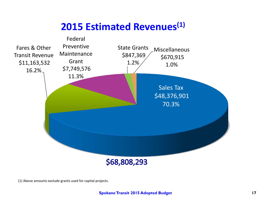### **2015 Estimated Revenues(1)**



(1) Above amounts exclude grants used for capital projects.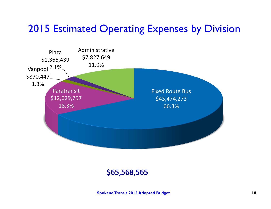### 2015 Estimated Operating Expenses by Division



#### \$65,568,565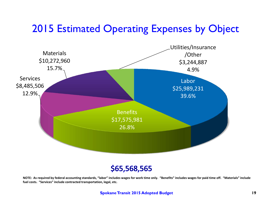### 2015 Estimated Operating Expenses by Object



#### \$65,568,565

NOTE: As required by federal accounting standards, "labor" includes wages for work time only. "Benefits" includes wages for paid time off. "Materials" include **fuel costs. "Services" include contracted transportation, legal, etc.**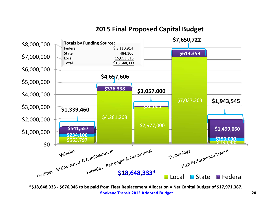

#### **2015 Final Proposed Capital Budget**

**Spokane Transit 2015 Adopted Budget 20 \*\$18,648,333 ‐ \$676,946 to be paid from Fleet Replacement Allocation <sup>=</sup> Net Capital Budget of \$17,971,387.**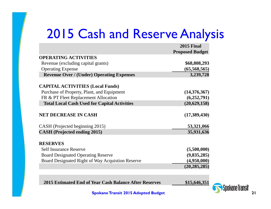### 2015 Cash and Reserve Analysis

|                                                     | <b>2015 Final</b>      |
|-----------------------------------------------------|------------------------|
|                                                     | <b>Proposed Budget</b> |
| <b>OPERATING ACTIVITIES</b>                         |                        |
| Revenue (excluding capital grants)                  | \$68,808,293           |
| <b>Operating Expense</b>                            | (65,568,565)           |
| <b>Revenue Over / (Under) Operating Expenses</b>    | 3,239,728              |
| <b>CAPITAL ACTIVITIES (Local Funds)</b>             |                        |
| Purchase of Property, Plant, and Equipment          | (14,376,367)           |
| FR & PT Fleet Replacement Allocation                | (6,252,791)            |
| <b>Total Local Cash Used for Capital Activities</b> | (20, 629, 158)         |
| <b>NET DECREASE IN CASH</b>                         | (17,389,430)           |
| CASH (Projected beginning 2015)                     | 53,321,066             |
| <b>CASH</b> (Projected ending 2015)                 | 35,931,636             |
| <b>RESERVES</b>                                     |                        |
| <b>Self Insurance Reserve</b>                       | (5,500,000)            |
| <b>Board Designated Operating Reserve</b>           | (9,835,285)            |
| Board Designated Right of Way Acquistion Reserve    | (4,950,000)            |
|                                                     | (20, 285, 285)         |

**2015 Estimated End of Year Cash Balance After Reserves \$15,646,351**